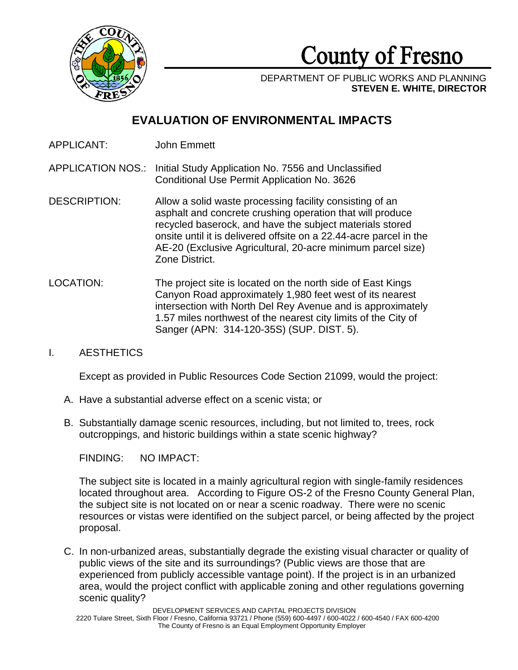

County of Fresno

DEPARTMENT OF PUBLIC WORKS AND PLANNING **STEVEN E. WHITE, DIRECTOR**

# **EVALUATION OF ENVIRONMENTAL IMPACTS**

APPLICANT: John Emmett

APPLICATION NOS.: Initial Study Application No. 7556 and Unclassified Conditional Use Permit Application No. 3626

- DESCRIPTION: Allow a solid waste processing facility consisting of an asphalt and concrete crushing operation that will produce recycled baserock, and have the subject materials stored onsite until it is delivered offsite on a 22.44-acre parcel in the AE-20 (Exclusive Agricultural, 20-acre minimum parcel size) Zone District.
- LOCATION: The project site is located on the north side of East Kings Canyon Road approximately 1,980 feet west of its nearest intersection with North Del Rey Avenue and is approximately 1.57 miles northwest of the nearest city limits of the City of Sanger (APN: 314-120-35S) (SUP. DIST. 5).

# I. AESTHETICS

Except as provided in Public Resources Code Section 21099, would the project:

- A. Have a substantial adverse effect on a scenic vista; or
- B. Substantially damage scenic resources, including, but not limited to, trees, rock outcroppings, and historic buildings within a state scenic highway?

FINDING: NO IMPACT:

The subject site is located in a mainly agricultural region with single-family residences located throughout area. According to Figure OS-2 of the Fresno County General Plan, the subject site is not located on or near a scenic roadway. There were no scenic resources or vistas were identified on the subject parcel, or being affected by the project proposal.

C. In non-urbanized areas, substantially degrade the existing visual character or quality of public views of the site and its surroundings? (Public views are those that are experienced from publicly accessible vantage point). If the project is in an urbanized area, would the project conflict with applicable zoning and other regulations governing scenic quality?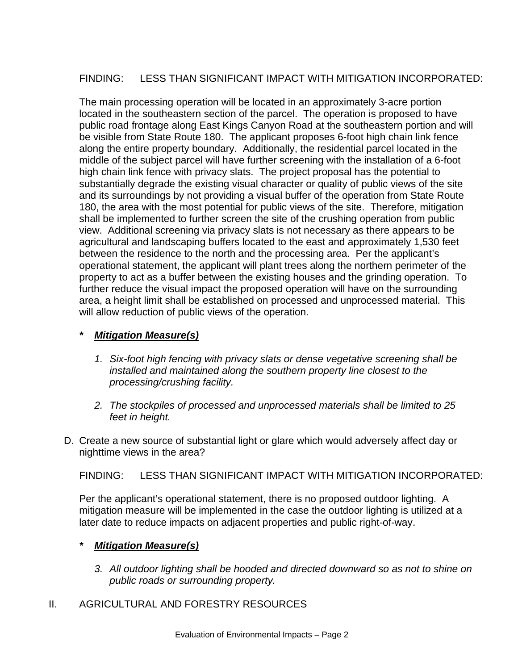# FINDING: LESS THAN SIGNIFICANT IMPACT WITH MITIGATION INCORPORATED:

The main processing operation will be located in an approximately 3-acre portion located in the southeastern section of the parcel. The operation is proposed to have public road frontage along East Kings Canyon Road at the southeastern portion and will be visible from State Route 180. The applicant proposes 6-foot high chain link fence along the entire property boundary. Additionally, the residential parcel located in the middle of the subject parcel will have further screening with the installation of a 6-foot high chain link fence with privacy slats. The project proposal has the potential to substantially degrade the existing visual character or quality of public views of the site and its surroundings by not providing a visual buffer of the operation from State Route 180, the area with the most potential for public views of the site. Therefore, mitigation shall be implemented to further screen the site of the crushing operation from public view. Additional screening via privacy slats is not necessary as there appears to be agricultural and landscaping buffers located to the east and approximately 1,530 feet between the residence to the north and the processing area. Per the applicant's operational statement, the applicant will plant trees along the northern perimeter of the property to act as a buffer between the existing houses and the grinding operation. To further reduce the visual impact the proposed operation will have on the surrounding area, a height limit shall be established on processed and unprocessed material. This will allow reduction of public views of the operation.

# *\* Mitigation Measure(s)*

- *1. Six-foot high fencing with privacy slats or dense vegetative screening shall be installed and maintained along the southern property line closest to the processing/crushing facility.*
- *2. The stockpiles of processed and unprocessed materials shall be limited to 25 feet in height.*
- D. Create a new source of substantial light or glare which would adversely affect day or nighttime views in the area?

FINDING: LESS THAN SIGNIFICANT IMPACT WITH MITIGATION INCORPORATED:

Per the applicant's operational statement, there is no proposed outdoor lighting. A mitigation measure will be implemented in the case the outdoor lighting is utilized at a later date to reduce impacts on adjacent properties and public right-of-way.

# *\* Mitigation Measure(s)*

- *3. All outdoor lighting shall be hooded and directed downward so as not to shine on public roads or surrounding property.*
- II. AGRICULTURAL AND FORESTRY RESOURCES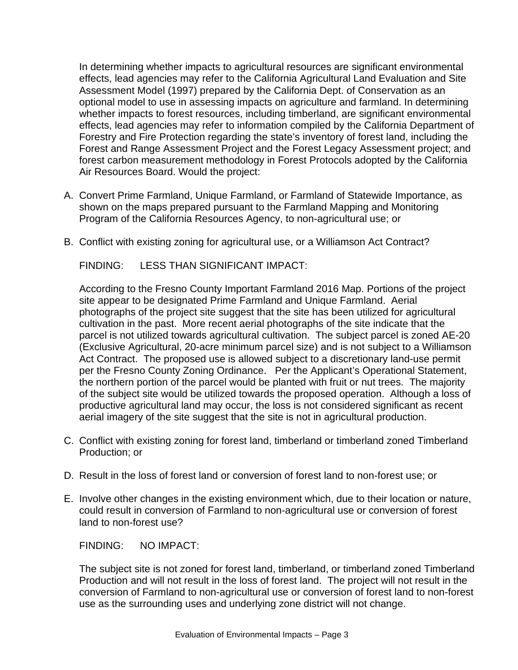In determining whether impacts to agricultural resources are significant environmental effects, lead agencies may refer to the California Agricultural Land Evaluation and Site Assessment Model (1997) prepared by the California Dept. of Conservation as an optional model to use in assessing impacts on agriculture and farmland. In determining whether impacts to forest resources, including timberland, are significant environmental effects, lead agencies may refer to information compiled by the California Department of Forestry and Fire Protection regarding the state's inventory of forest land, including the Forest and Range Assessment Project and the Forest Legacy Assessment project; and forest carbon measurement methodology in Forest Protocols adopted by the California Air Resources Board. Would the project:

- A. Convert Prime Farmland, Unique Farmland, or Farmland of Statewide Importance, as shown on the maps prepared pursuant to the Farmland Mapping and Monitoring Program of the California Resources Agency, to non-agricultural use; or
- B. Conflict with existing zoning for agricultural use, or a Williamson Act Contract?

FINDING: LESS THAN SIGNIFICANT IMPACT:

According to the Fresno County Important Farmland 2016 Map. Portions of the project site appear to be designated Prime Farmland and Unique Farmland. Aerial photographs of the project site suggest that the site has been utilized for agricultural cultivation in the past. More recent aerial photographs of the site indicate that the parcel is not utilized towards agricultural cultivation. The subject parcel is zoned AE-20 (Exclusive Agricultural, 20-acre minimum parcel size) and is not subject to a Williamson Act Contract. The proposed use is allowed subject to a discretionary land-use permit per the Fresno County Zoning Ordinance. Per the Applicant's Operational Statement, the northern portion of the parcel would be planted with fruit or nut trees. The majority of the subject site would be utilized towards the proposed operation. Although a loss of productive agricultural land may occur, the loss is not considered significant as recent aerial imagery of the site suggest that the site is not in agricultural production.

- C. Conflict with existing zoning for forest land, timberland or timberland zoned Timberland Production; or
- D. Result in the loss of forest land or conversion of forest land to non-forest use; or
- E. Involve other changes in the existing environment which, due to their location or nature, could result in conversion of Farmland to non-agricultural use or conversion of forest land to non-forest use?

FINDING: NO IMPACT:

The subject site is not zoned for forest land, timberland, or timberland zoned Timberland Production and will not result in the loss of forest land. The project will not result in the conversion of Farmland to non-agricultural use or conversion of forest land to non-forest use as the surrounding uses and underlying zone district will not change.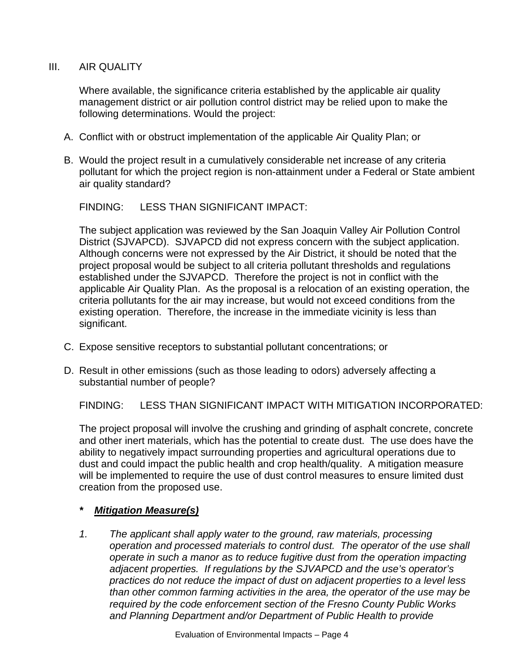# III. AIR QUALITY

Where available, the significance criteria established by the applicable air quality management district or air pollution control district may be relied upon to make the following determinations. Would the project:

- A. Conflict with or obstruct implementation of the applicable Air Quality Plan; or
- B. Would the project result in a cumulatively considerable net increase of any criteria pollutant for which the project region is non-attainment under a Federal or State ambient air quality standard?

FINDING: LESS THAN SIGNIFICANT IMPACT:

The subject application was reviewed by the San Joaquin Valley Air Pollution Control District (SJVAPCD). SJVAPCD did not express concern with the subject application. Although concerns were not expressed by the Air District, it should be noted that the project proposal would be subject to all criteria pollutant thresholds and regulations established under the SJVAPCD. Therefore the project is not in conflict with the applicable Air Quality Plan. As the proposal is a relocation of an existing operation, the criteria pollutants for the air may increase, but would not exceed conditions from the existing operation. Therefore, the increase in the immediate vicinity is less than significant.

- C. Expose sensitive receptors to substantial pollutant concentrations; or
- D. Result in other emissions (such as those leading to odors) adversely affecting a substantial number of people?

FINDING: LESS THAN SIGNIFICANT IMPACT WITH MITIGATION INCORPORATED:

The project proposal will involve the crushing and grinding of asphalt concrete, concrete and other inert materials, which has the potential to create dust. The use does have the ability to negatively impact surrounding properties and agricultural operations due to dust and could impact the public health and crop health/quality. A mitigation measure will be implemented to require the use of dust control measures to ensure limited dust creation from the proposed use.

# *\* Mitigation Measure(s)*

*1. The applicant shall apply water to the ground, raw materials, processing operation and processed materials to control dust. The operator of the use shall operate in such a manor as to reduce fugitive dust from the operation impacting adjacent properties. If regulations by the SJVAPCD and the use's operator's practices do not reduce the impact of dust on adjacent properties to a level less than other common farming activities in the area, the operator of the use may be required by the code enforcement section of the Fresno County Public Works and Planning Department and/or Department of Public Health to provide*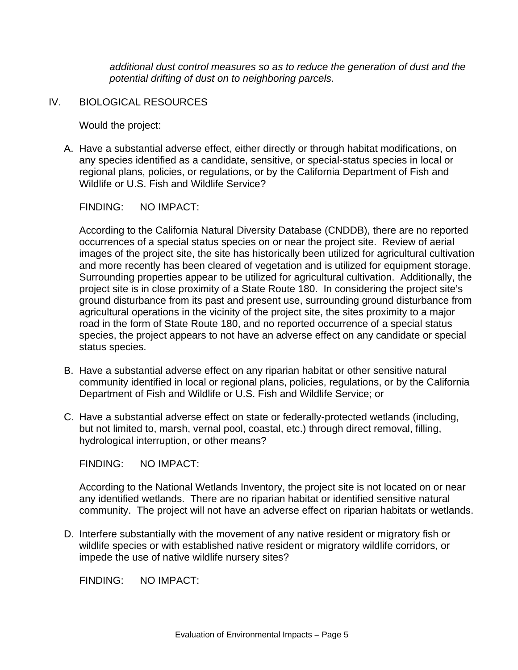*additional dust control measures so as to reduce the generation of dust and the potential drifting of dust on to neighboring parcels.*

# IV. BIOLOGICAL RESOURCES

Would the project:

A. Have a substantial adverse effect, either directly or through habitat modifications, on any species identified as a candidate, sensitive, or special-status species in local or regional plans, policies, or regulations, or by the California Department of Fish and Wildlife or U.S. Fish and Wildlife Service?

FINDING: NO IMPACT:

According to the California Natural Diversity Database (CNDDB), there are no reported occurrences of a special status species on or near the project site. Review of aerial images of the project site, the site has historically been utilized for agricultural cultivation and more recently has been cleared of vegetation and is utilized for equipment storage. Surrounding properties appear to be utilized for agricultural cultivation. Additionally, the project site is in close proximity of a State Route 180. In considering the project site's ground disturbance from its past and present use, surrounding ground disturbance from agricultural operations in the vicinity of the project site, the sites proximity to a major road in the form of State Route 180, and no reported occurrence of a special status species, the project appears to not have an adverse effect on any candidate or special status species.

- B. Have a substantial adverse effect on any riparian habitat or other sensitive natural community identified in local or regional plans, policies, regulations, or by the California Department of Fish and Wildlife or U.S. Fish and Wildlife Service; or
- C. Have a substantial adverse effect on state or federally-protected wetlands (including, but not limited to, marsh, vernal pool, coastal, etc.) through direct removal, filling, hydrological interruption, or other means?

FINDING: NO IMPACT:

According to the National Wetlands Inventory, the project site is not located on or near any identified wetlands. There are no riparian habitat or identified sensitive natural community. The project will not have an adverse effect on riparian habitats or wetlands.

D. Interfere substantially with the movement of any native resident or migratory fish or wildlife species or with established native resident or migratory wildlife corridors, or impede the use of native wildlife nursery sites?

FINDING: NO IMPACT: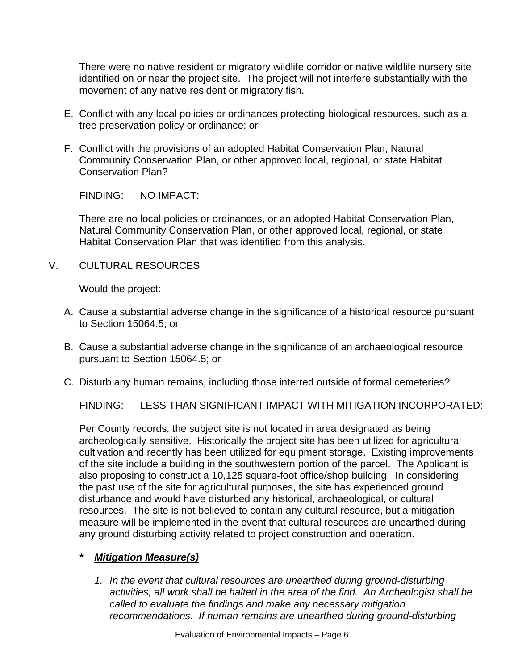There were no native resident or migratory wildlife corridor or native wildlife nursery site identified on or near the project site. The project will not interfere substantially with the movement of any native resident or migratory fish.

- E. Conflict with any local policies or ordinances protecting biological resources, such as a tree preservation policy or ordinance; or
- F. Conflict with the provisions of an adopted Habitat Conservation Plan, Natural Community Conservation Plan, or other approved local, regional, or state Habitat Conservation Plan?

FINDING: NO IMPACT:

There are no local policies or ordinances, or an adopted Habitat Conservation Plan, Natural Community Conservation Plan, or other approved local, regional, or state Habitat Conservation Plan that was identified from this analysis.

V. CULTURAL RESOURCES

Would the project:

- A. Cause a substantial adverse change in the significance of a historical resource pursuant to Section 15064.5; or
- B. Cause a substantial adverse change in the significance of an archaeological resource pursuant to Section 15064.5; or
- C. Disturb any human remains, including those interred outside of formal cemeteries?

FINDING: LESS THAN SIGNIFICANT IMPACT WITH MITIGATION INCORPORATED:

Per County records, the subject site is not located in area designated as being archeologically sensitive. Historically the project site has been utilized for agricultural cultivation and recently has been utilized for equipment storage. Existing improvements of the site include a building in the southwestern portion of the parcel. The Applicant is also proposing to construct a 10,125 square-foot office/shop building. In considering the past use of the site for agricultural purposes, the site has experienced ground disturbance and would have disturbed any historical, archaeological, or cultural resources. The site is not believed to contain any cultural resource, but a mitigation measure will be implemented in the event that cultural resources are unearthed during any ground disturbing activity related to project construction and operation.

# *\* Mitigation Measure(s)*

*1. In the event that cultural resources are unearthed during ground-disturbing activities, all work shall be halted in the area of the find. An Archeologist shall be called to evaluate the findings and make any necessary mitigation recommendations. If human remains are unearthed during ground-disturbing*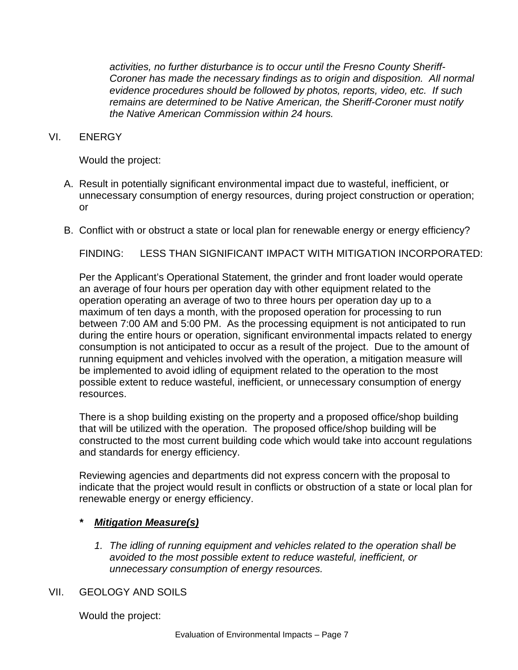*activities, no further disturbance is to occur until the Fresno County Sheriff-Coroner has made the necessary findings as to origin and disposition. All normal evidence procedures should be followed by photos, reports, video, etc. If such remains are determined to be Native American, the Sheriff-Coroner must notify the Native American Commission within 24 hours.* 

# VI. ENERGY

Would the project:

- A. Result in potentially significant environmental impact due to wasteful, inefficient, or unnecessary consumption of energy resources, during project construction or operation; or
- B. Conflict with or obstruct a state or local plan for renewable energy or energy efficiency?

FINDING: LESS THAN SIGNIFICANT IMPACT WITH MITIGATION INCORPORATED:

Per the Applicant's Operational Statement, the grinder and front loader would operate an average of four hours per operation day with other equipment related to the operation operating an average of two to three hours per operation day up to a maximum of ten days a month, with the proposed operation for processing to run between 7:00 AM and 5:00 PM. As the processing equipment is not anticipated to run during the entire hours or operation, significant environmental impacts related to energy consumption is not anticipated to occur as a result of the project. Due to the amount of running equipment and vehicles involved with the operation, a mitigation measure will be implemented to avoid idling of equipment related to the operation to the most possible extent to reduce wasteful, inefficient, or unnecessary consumption of energy resources.

There is a shop building existing on the property and a proposed office/shop building that will be utilized with the operation. The proposed office/shop building will be constructed to the most current building code which would take into account regulations and standards for energy efficiency.

Reviewing agencies and departments did not express concern with the proposal to indicate that the project would result in conflicts or obstruction of a state or local plan for renewable energy or energy efficiency.

#### *\* Mitigation Measure(s)*

*1. The idling of running equipment and vehicles related to the operation shall be avoided to the most possible extent to reduce wasteful, inefficient, or unnecessary consumption of energy resources.* 

#### VII. GEOLOGY AND SOILS

Would the project: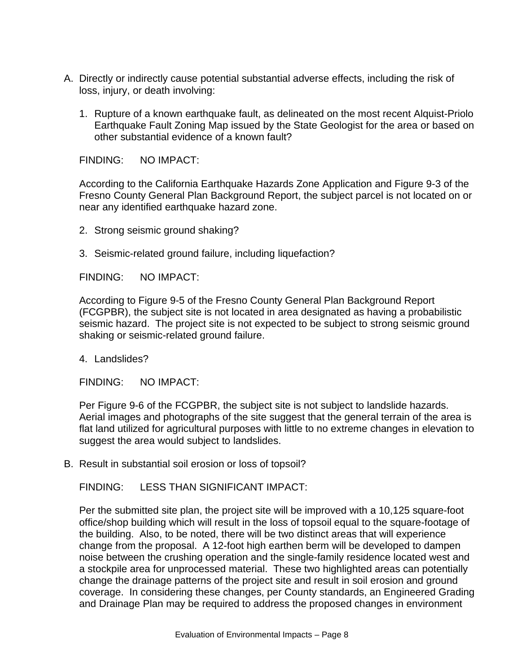- A. Directly or indirectly cause potential substantial adverse effects, including the risk of loss, injury, or death involving:
	- 1. Rupture of a known earthquake fault, as delineated on the most recent Alquist-Priolo Earthquake Fault Zoning Map issued by the State Geologist for the area or based on other substantial evidence of a known fault?

FINDING: NO IMPACT:

According to the California Earthquake Hazards Zone Application and Figure 9-3 of the Fresno County General Plan Background Report, the subject parcel is not located on or near any identified earthquake hazard zone.

- 2. Strong seismic ground shaking?
- 3. Seismic-related ground failure, including liquefaction?

FINDING: NO IMPACT:

According to Figure 9-5 of the Fresno County General Plan Background Report (FCGPBR), the subject site is not located in area designated as having a probabilistic seismic hazard. The project site is not expected to be subject to strong seismic ground shaking or seismic-related ground failure.

4. Landslides?

FINDING: NO IMPACT:

Per Figure 9-6 of the FCGPBR, the subject site is not subject to landslide hazards. Aerial images and photographs of the site suggest that the general terrain of the area is flat land utilized for agricultural purposes with little to no extreme changes in elevation to suggest the area would subject to landslides.

B. Result in substantial soil erosion or loss of topsoil?

FINDING: LESS THAN SIGNIFICANT IMPACT:

Per the submitted site plan, the project site will be improved with a 10,125 square-foot office/shop building which will result in the loss of topsoil equal to the square-footage of the building. Also, to be noted, there will be two distinct areas that will experience change from the proposal. A 12-foot high earthen berm will be developed to dampen noise between the crushing operation and the single-family residence located west and a stockpile area for unprocessed material. These two highlighted areas can potentially change the drainage patterns of the project site and result in soil erosion and ground coverage. In considering these changes, per County standards, an Engineered Grading and Drainage Plan may be required to address the proposed changes in environment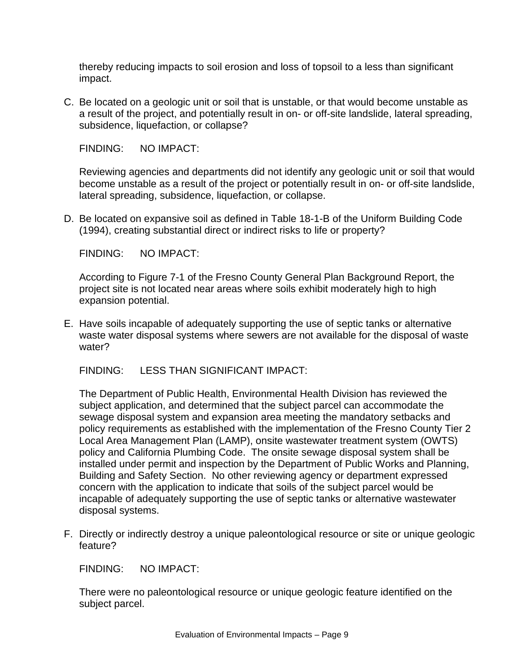thereby reducing impacts to soil erosion and loss of topsoil to a less than significant impact.

C. Be located on a geologic unit or soil that is unstable, or that would become unstable as a result of the project, and potentially result in on- or off-site landslide, lateral spreading, subsidence, liquefaction, or collapse?

FINDING: NO IMPACT:

Reviewing agencies and departments did not identify any geologic unit or soil that would become unstable as a result of the project or potentially result in on- or off-site landslide, lateral spreading, subsidence, liquefaction, or collapse.

D. Be located on expansive soil as defined in Table 18-1-B of the Uniform Building Code (1994), creating substantial direct or indirect risks to life or property?

FINDING: NO IMPACT:

According to Figure 7-1 of the Fresno County General Plan Background Report, the project site is not located near areas where soils exhibit moderately high to high expansion potential.

E. Have soils incapable of adequately supporting the use of septic tanks or alternative waste water disposal systems where sewers are not available for the disposal of waste water?

FINDING: LESS THAN SIGNIFICANT IMPACT:

The Department of Public Health, Environmental Health Division has reviewed the subject application, and determined that the subject parcel can accommodate the sewage disposal system and expansion area meeting the mandatory setbacks and policy requirements as established with the implementation of the Fresno County Tier 2 Local Area Management Plan (LAMP), onsite wastewater treatment system (OWTS) policy and California Plumbing Code. The onsite sewage disposal system shall be installed under permit and inspection by the Department of Public Works and Planning, Building and Safety Section. No other reviewing agency or department expressed concern with the application to indicate that soils of the subject parcel would be incapable of adequately supporting the use of septic tanks or alternative wastewater disposal systems.

F. Directly or indirectly destroy a unique paleontological resource or site or unique geologic feature?

FINDING: NO IMPACT:

There were no paleontological resource or unique geologic feature identified on the subject parcel.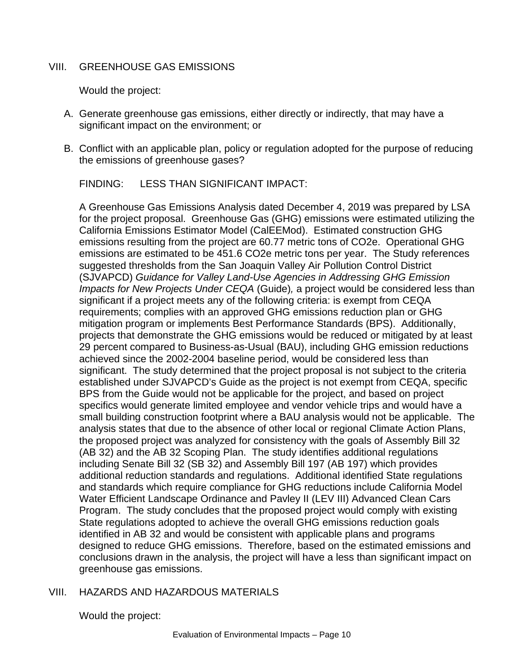# VIII. GREENHOUSE GAS EMISSIONS

Would the project:

- A. Generate greenhouse gas emissions, either directly or indirectly, that may have a significant impact on the environment; or
- B. Conflict with an applicable plan, policy or regulation adopted for the purpose of reducing the emissions of greenhouse gases?

FINDING: LESS THAN SIGNIFICANT IMPACT:

A Greenhouse Gas Emissions Analysis dated December 4, 2019 was prepared by LSA for the project proposal. Greenhouse Gas (GHG) emissions were estimated utilizing the California Emissions Estimator Model (CalEEMod). Estimated construction GHG emissions resulting from the project are 60.77 metric tons of CO2e. Operational GHG emissions are estimated to be 451.6 CO2e metric tons per year. The Study references suggested thresholds from the San Joaquin Valley Air Pollution Control District (SJVAPCD) *Guidance for Valley Land-Use Agencies in Addressing GHG Emission Impacts for New Projects Under CEQA* (Guide)*,* a project would be considered less than significant if a project meets any of the following criteria: is exempt from CEQA requirements; complies with an approved GHG emissions reduction plan or GHG mitigation program or implements Best Performance Standards (BPS). Additionally, projects that demonstrate the GHG emissions would be reduced or mitigated by at least 29 percent compared to Business-as-Usual (BAU), including GHG emission reductions achieved since the 2002-2004 baseline period, would be considered less than significant. The study determined that the project proposal is not subject to the criteria established under SJVAPCD's Guide as the project is not exempt from CEQA, specific BPS from the Guide would not be applicable for the project, and based on project specifics would generate limited employee and vendor vehicle trips and would have a small building construction footprint where a BAU analysis would not be applicable. The analysis states that due to the absence of other local or regional Climate Action Plans, the proposed project was analyzed for consistency with the goals of Assembly Bill 32 (AB 32) and the AB 32 Scoping Plan. The study identifies additional regulations including Senate Bill 32 (SB 32) and Assembly Bill 197 (AB 197) which provides additional reduction standards and regulations. Additional identified State regulations and standards which require compliance for GHG reductions include California Model Water Efficient Landscape Ordinance and Pavley II (LEV III) Advanced Clean Cars Program. The study concludes that the proposed project would comply with existing State regulations adopted to achieve the overall GHG emissions reduction goals identified in AB 32 and would be consistent with applicable plans and programs designed to reduce GHG emissions. Therefore, based on the estimated emissions and conclusions drawn in the analysis, the project will have a less than significant impact on greenhouse gas emissions.

# VIII. HAZARDS AND HAZARDOUS MATERIALS

Would the project: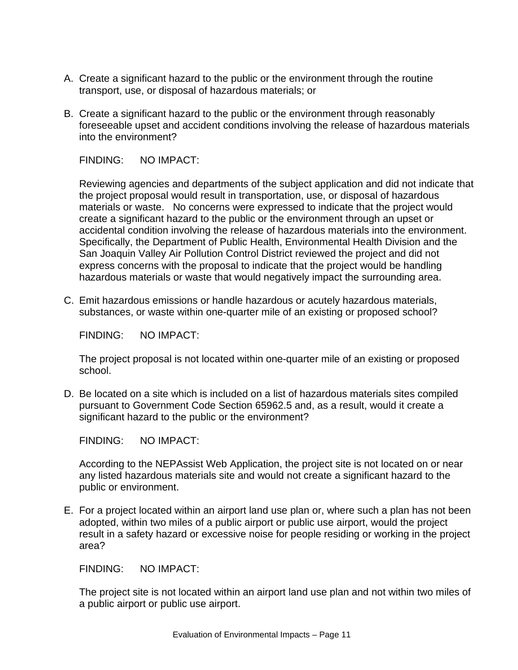- A. Create a significant hazard to the public or the environment through the routine transport, use, or disposal of hazardous materials; or
- B. Create a significant hazard to the public or the environment through reasonably foreseeable upset and accident conditions involving the release of hazardous materials into the environment?

FINDING: NO IMPACT:

Reviewing agencies and departments of the subject application and did not indicate that the project proposal would result in transportation, use, or disposal of hazardous materials or waste. No concerns were expressed to indicate that the project would create a significant hazard to the public or the environment through an upset or accidental condition involving the release of hazardous materials into the environment. Specifically, the Department of Public Health, Environmental Health Division and the San Joaquin Valley Air Pollution Control District reviewed the project and did not express concerns with the proposal to indicate that the project would be handling hazardous materials or waste that would negatively impact the surrounding area.

C. Emit hazardous emissions or handle hazardous or acutely hazardous materials, substances, or waste within one-quarter mile of an existing or proposed school?

FINDING: NO IMPACT:

The project proposal is not located within one-quarter mile of an existing or proposed school.

D. Be located on a site which is included on a list of hazardous materials sites compiled pursuant to Government Code Section 65962.5 and, as a result, would it create a significant hazard to the public or the environment?

FINDING: NO IMPACT:

According to the NEPAssist Web Application, the project site is not located on or near any listed hazardous materials site and would not create a significant hazard to the public or environment.

E. For a project located within an airport land use plan or, where such a plan has not been adopted, within two miles of a public airport or public use airport, would the project result in a safety hazard or excessive noise for people residing or working in the project area?

FINDING: NO IMPACT:

The project site is not located within an airport land use plan and not within two miles of a public airport or public use airport.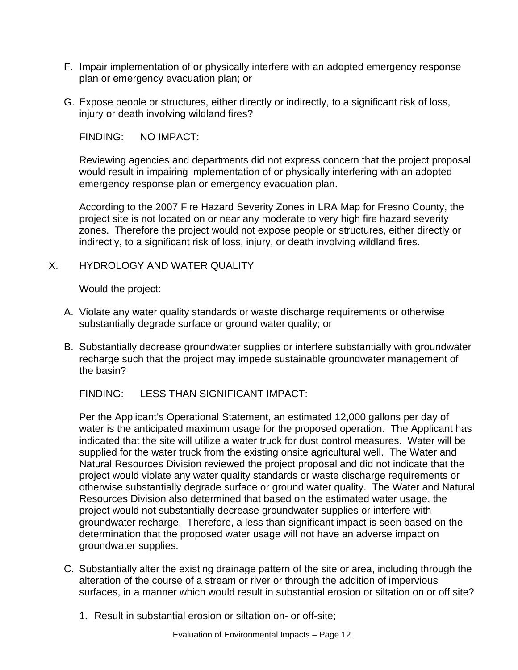- F. Impair implementation of or physically interfere with an adopted emergency response plan or emergency evacuation plan; or
- G. Expose people or structures, either directly or indirectly, to a significant risk of loss, injury or death involving wildland fires?

FINDING: NO IMPACT:

Reviewing agencies and departments did not express concern that the project proposal would result in impairing implementation of or physically interfering with an adopted emergency response plan or emergency evacuation plan.

According to the 2007 Fire Hazard Severity Zones in LRA Map for Fresno County, the project site is not located on or near any moderate to very high fire hazard severity zones. Therefore the project would not expose people or structures, either directly or indirectly, to a significant risk of loss, injury, or death involving wildland fires.

#### X. HYDROLOGY AND WATER QUALITY

Would the project:

- A. Violate any water quality standards or waste discharge requirements or otherwise substantially degrade surface or ground water quality; or
- B. Substantially decrease groundwater supplies or interfere substantially with groundwater recharge such that the project may impede sustainable groundwater management of the basin?

FINDING: LESS THAN SIGNIFICANT IMPACT:

Per the Applicant's Operational Statement, an estimated 12,000 gallons per day of water is the anticipated maximum usage for the proposed operation. The Applicant has indicated that the site will utilize a water truck for dust control measures. Water will be supplied for the water truck from the existing onsite agricultural well. The Water and Natural Resources Division reviewed the project proposal and did not indicate that the project would violate any water quality standards or waste discharge requirements or otherwise substantially degrade surface or ground water quality. The Water and Natural Resources Division also determined that based on the estimated water usage, the project would not substantially decrease groundwater supplies or interfere with groundwater recharge. Therefore, a less than significant impact is seen based on the determination that the proposed water usage will not have an adverse impact on groundwater supplies.

- C. Substantially alter the existing drainage pattern of the site or area, including through the alteration of the course of a stream or river or through the addition of impervious surfaces, in a manner which would result in substantial erosion or siltation on or off site?
	- 1. Result in substantial erosion or siltation on- or off-site;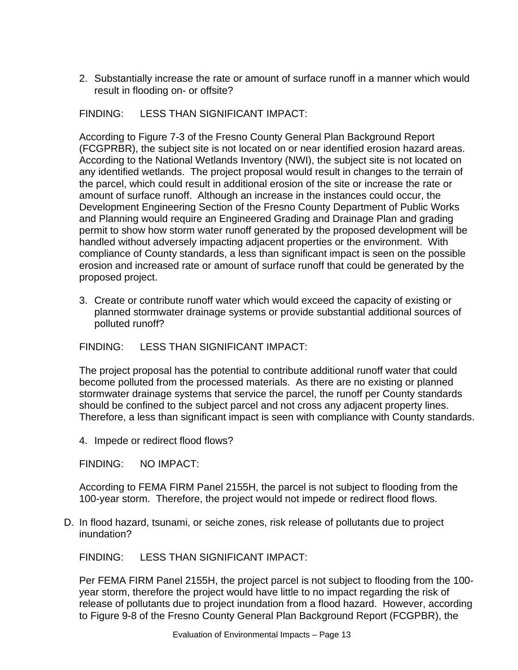2. Substantially increase the rate or amount of surface runoff in a manner which would result in flooding on- or offsite?

FINDING: LESS THAN SIGNIFICANT IMPACT:

According to Figure 7-3 of the Fresno County General Plan Background Report (FCGPRBR), the subject site is not located on or near identified erosion hazard areas. According to the National Wetlands Inventory (NWI), the subject site is not located on any identified wetlands. The project proposal would result in changes to the terrain of the parcel, which could result in additional erosion of the site or increase the rate or amount of surface runoff. Although an increase in the instances could occur, the Development Engineering Section of the Fresno County Department of Public Works and Planning would require an Engineered Grading and Drainage Plan and grading permit to show how storm water runoff generated by the proposed development will be handled without adversely impacting adjacent properties or the environment. With compliance of County standards, a less than significant impact is seen on the possible erosion and increased rate or amount of surface runoff that could be generated by the proposed project.

3. Create or contribute runoff water which would exceed the capacity of existing or planned stormwater drainage systems or provide substantial additional sources of polluted runoff?

FINDING: LESS THAN SIGNIFICANT IMPACT:

The project proposal has the potential to contribute additional runoff water that could become polluted from the processed materials. As there are no existing or planned stormwater drainage systems that service the parcel, the runoff per County standards should be confined to the subject parcel and not cross any adjacent property lines. Therefore, a less than significant impact is seen with compliance with County standards.

4. Impede or redirect flood flows?

FINDING: NO IMPACT:

According to FEMA FIRM Panel 2155H, the parcel is not subject to flooding from the 100-year storm. Therefore, the project would not impede or redirect flood flows.

D. In flood hazard, tsunami, or seiche zones, risk release of pollutants due to project inundation?

FINDING: LESS THAN SIGNIFICANT IMPACT:

Per FEMA FIRM Panel 2155H, the project parcel is not subject to flooding from the 100 year storm, therefore the project would have little to no impact regarding the risk of release of pollutants due to project inundation from a flood hazard. However, according to Figure 9-8 of the Fresno County General Plan Background Report (FCGPBR), the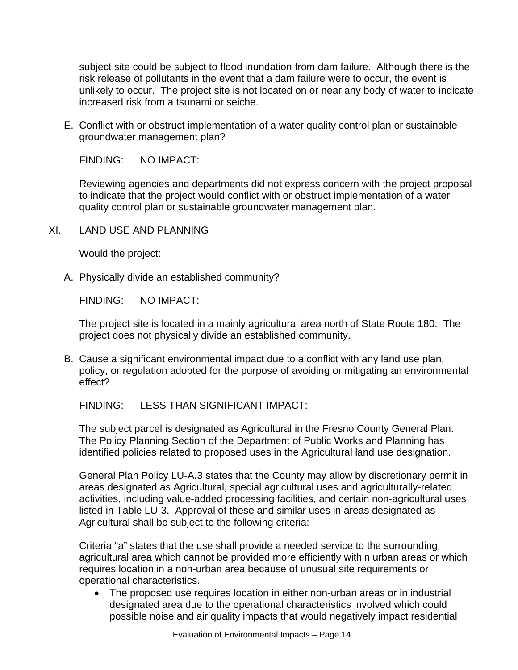subject site could be subject to flood inundation from dam failure. Although there is the risk release of pollutants in the event that a dam failure were to occur, the event is unlikely to occur. The project site is not located on or near any body of water to indicate increased risk from a tsunami or seiche.

E. Conflict with or obstruct implementation of a water quality control plan or sustainable groundwater management plan?

FINDING: NO IMPACT:

Reviewing agencies and departments did not express concern with the project proposal to indicate that the project would conflict with or obstruct implementation of a water quality control plan or sustainable groundwater management plan.

XI. LAND USE AND PLANNING

Would the project:

A. Physically divide an established community?

FINDING: NO IMPACT:

The project site is located in a mainly agricultural area north of State Route 180. The project does not physically divide an established community.

B. Cause a significant environmental impact due to a conflict with any land use plan, policy, or regulation adopted for the purpose of avoiding or mitigating an environmental effect?

FINDING: LESS THAN SIGNIFICANT IMPACT:

The subject parcel is designated as Agricultural in the Fresno County General Plan. The Policy Planning Section of the Department of Public Works and Planning has identified policies related to proposed uses in the Agricultural land use designation.

General Plan Policy LU-A.3 states that the County may allow by discretionary permit in areas designated as Agricultural, special agricultural uses and agriculturally-related activities, including value-added processing facilities, and certain non-agricultural uses listed in Table LU-3. Approval of these and similar uses in areas designated as Agricultural shall be subject to the following criteria:

Criteria "a" states that the use shall provide a needed service to the surrounding agricultural area which cannot be provided more efficiently within urban areas or which requires location in a non-urban area because of unusual site requirements or operational characteristics.

• The proposed use requires location in either non-urban areas or in industrial designated area due to the operational characteristics involved which could possible noise and air quality impacts that would negatively impact residential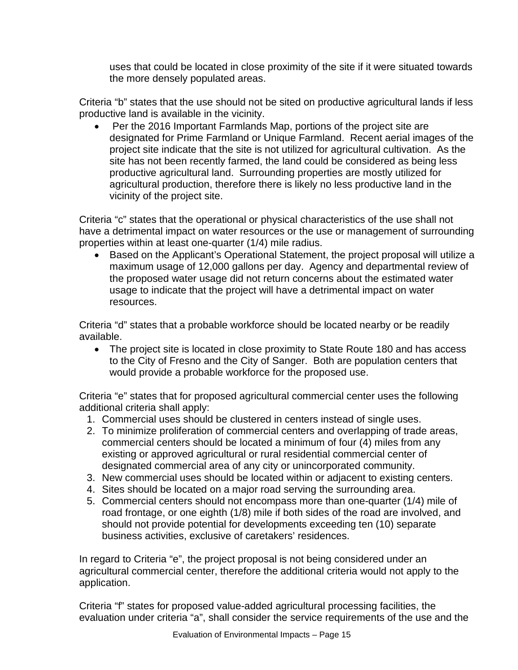uses that could be located in close proximity of the site if it were situated towards the more densely populated areas.

Criteria "b" states that the use should not be sited on productive agricultural lands if less productive land is available in the vicinity.

• Per the 2016 Important Farmlands Map, portions of the project site are designated for Prime Farmland or Unique Farmland. Recent aerial images of the project site indicate that the site is not utilized for agricultural cultivation. As the site has not been recently farmed, the land could be considered as being less productive agricultural land. Surrounding properties are mostly utilized for agricultural production, therefore there is likely no less productive land in the vicinity of the project site.

Criteria "c" states that the operational or physical characteristics of the use shall not have a detrimental impact on water resources or the use or management of surrounding properties within at least one-quarter (1/4) mile radius.

• Based on the Applicant's Operational Statement, the project proposal will utilize a maximum usage of 12,000 gallons per day. Agency and departmental review of the proposed water usage did not return concerns about the estimated water usage to indicate that the project will have a detrimental impact on water resources.

Criteria "d" states that a probable workforce should be located nearby or be readily available.

• The project site is located in close proximity to State Route 180 and has access to the City of Fresno and the City of Sanger. Both are population centers that would provide a probable workforce for the proposed use.

Criteria "e" states that for proposed agricultural commercial center uses the following additional criteria shall apply:

- 1. Commercial uses should be clustered in centers instead of single uses.
- 2. To minimize proliferation of commercial centers and overlapping of trade areas, commercial centers should be located a minimum of four (4) miles from any existing or approved agricultural or rural residential commercial center of designated commercial area of any city or unincorporated community.
- 3. New commercial uses should be located within or adjacent to existing centers.
- 4. Sites should be located on a major road serving the surrounding area.
- 5. Commercial centers should not encompass more than one-quarter (1/4) mile of road frontage, or one eighth (1/8) mile if both sides of the road are involved, and should not provide potential for developments exceeding ten (10) separate business activities, exclusive of caretakers' residences.

In regard to Criteria "e", the project proposal is not being considered under an agricultural commercial center, therefore the additional criteria would not apply to the application.

Criteria "f" states for proposed value-added agricultural processing facilities, the evaluation under criteria "a", shall consider the service requirements of the use and the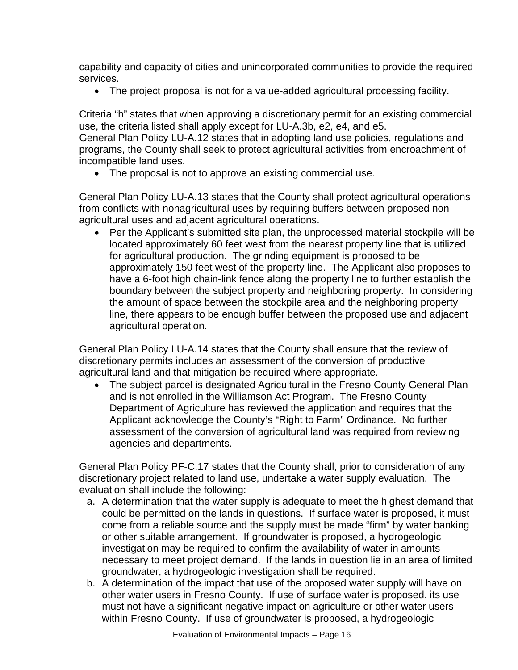capability and capacity of cities and unincorporated communities to provide the required services.

• The project proposal is not for a value-added agricultural processing facility.

Criteria "h" states that when approving a discretionary permit for an existing commercial use, the criteria listed shall apply except for LU-A.3b, e2, e4, and e5. General Plan Policy LU-A.12 states that in adopting land use policies, regulations and programs, the County shall seek to protect agricultural activities from encroachment of incompatible land uses.

• The proposal is not to approve an existing commercial use.

General Plan Policy LU-A.13 states that the County shall protect agricultural operations from conflicts with nonagricultural uses by requiring buffers between proposed nonagricultural uses and adjacent agricultural operations.

• Per the Applicant's submitted site plan, the unprocessed material stockpile will be located approximately 60 feet west from the nearest property line that is utilized for agricultural production. The grinding equipment is proposed to be approximately 150 feet west of the property line. The Applicant also proposes to have a 6-foot high chain-link fence along the property line to further establish the boundary between the subject property and neighboring property. In considering the amount of space between the stockpile area and the neighboring property line, there appears to be enough buffer between the proposed use and adjacent agricultural operation.

General Plan Policy LU-A.14 states that the County shall ensure that the review of discretionary permits includes an assessment of the conversion of productive agricultural land and that mitigation be required where appropriate.

The subject parcel is designated Agricultural in the Fresno County General Plan and is not enrolled in the Williamson Act Program. The Fresno County Department of Agriculture has reviewed the application and requires that the Applicant acknowledge the County's "Right to Farm" Ordinance. No further assessment of the conversion of agricultural land was required from reviewing agencies and departments.

General Plan Policy PF-C.17 states that the County shall, prior to consideration of any discretionary project related to land use, undertake a water supply evaluation. The evaluation shall include the following:

- a. A determination that the water supply is adequate to meet the highest demand that could be permitted on the lands in questions. If surface water is proposed, it must come from a reliable source and the supply must be made "firm" by water banking or other suitable arrangement. If groundwater is proposed, a hydrogeologic investigation may be required to confirm the availability of water in amounts necessary to meet project demand. If the lands in question lie in an area of limited groundwater, a hydrogeologic investigation shall be required.
- b. A determination of the impact that use of the proposed water supply will have on other water users in Fresno County. If use of surface water is proposed, its use must not have a significant negative impact on agriculture or other water users within Fresno County. If use of groundwater is proposed, a hydrogeologic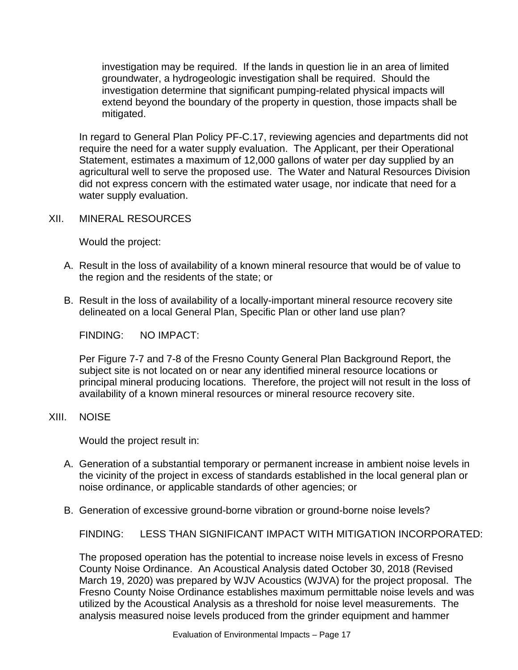investigation may be required. If the lands in question lie in an area of limited groundwater, a hydrogeologic investigation shall be required. Should the investigation determine that significant pumping-related physical impacts will extend beyond the boundary of the property in question, those impacts shall be mitigated.

In regard to General Plan Policy PF-C.17, reviewing agencies and departments did not require the need for a water supply evaluation. The Applicant, per their Operational Statement, estimates a maximum of 12,000 gallons of water per day supplied by an agricultural well to serve the proposed use. The Water and Natural Resources Division did not express concern with the estimated water usage, nor indicate that need for a water supply evaluation.

# XII. MINERAL RESOURCES

Would the project:

- A. Result in the loss of availability of a known mineral resource that would be of value to the region and the residents of the state; or
- B. Result in the loss of availability of a locally-important mineral resource recovery site delineated on a local General Plan, Specific Plan or other land use plan?

FINDING: NO IMPACT:

Per Figure 7-7 and 7-8 of the Fresno County General Plan Background Report, the subject site is not located on or near any identified mineral resource locations or principal mineral producing locations. Therefore, the project will not result in the loss of availability of a known mineral resources or mineral resource recovery site.

# XIII. NOISE

Would the project result in:

- A. Generation of a substantial temporary or permanent increase in ambient noise levels in the vicinity of the project in excess of standards established in the local general plan or noise ordinance, or applicable standards of other agencies; or
- B. Generation of excessive ground-borne vibration or ground-borne noise levels?

FINDING: LESS THAN SIGNIFICANT IMPACT WITH MITIGATION INCORPORATED:

The proposed operation has the potential to increase noise levels in excess of Fresno County Noise Ordinance. An Acoustical Analysis dated October 30, 2018 (Revised March 19, 2020) was prepared by WJV Acoustics (WJVA) for the project proposal. The Fresno County Noise Ordinance establishes maximum permittable noise levels and was utilized by the Acoustical Analysis as a threshold for noise level measurements. The analysis measured noise levels produced from the grinder equipment and hammer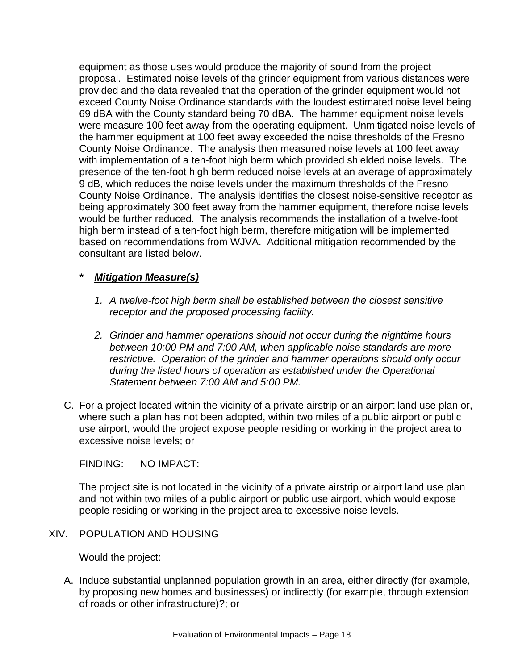equipment as those uses would produce the majority of sound from the project proposal. Estimated noise levels of the grinder equipment from various distances were provided and the data revealed that the operation of the grinder equipment would not exceed County Noise Ordinance standards with the loudest estimated noise level being 69 dBA with the County standard being 70 dBA. The hammer equipment noise levels were measure 100 feet away from the operating equipment. Unmitigated noise levels of the hammer equipment at 100 feet away exceeded the noise thresholds of the Fresno County Noise Ordinance. The analysis then measured noise levels at 100 feet away with implementation of a ten-foot high berm which provided shielded noise levels. The presence of the ten-foot high berm reduced noise levels at an average of approximately 9 dB, which reduces the noise levels under the maximum thresholds of the Fresno County Noise Ordinance. The analysis identifies the closest noise-sensitive receptor as being approximately 300 feet away from the hammer equipment, therefore noise levels would be further reduced. The analysis recommends the installation of a twelve-foot high berm instead of a ten-foot high berm, therefore mitigation will be implemented based on recommendations from WJVA. Additional mitigation recommended by the consultant are listed below.

# *\* Mitigation Measure(s)*

- *1. A twelve-foot high berm shall be established between the closest sensitive receptor and the proposed processing facility.*
- *2. Grinder and hammer operations should not occur during the nighttime hours between 10:00 PM and 7:00 AM, when applicable noise standards are more restrictive. Operation of the grinder and hammer operations should only occur during the listed hours of operation as established under the Operational Statement between 7:00 AM and 5:00 PM.*
- C. For a project located within the vicinity of a private airstrip or an airport land use plan or, where such a plan has not been adopted, within two miles of a public airport or public use airport, would the project expose people residing or working in the project area to excessive noise levels; or

FINDING: NO IMPACT:

The project site is not located in the vicinity of a private airstrip or airport land use plan and not within two miles of a public airport or public use airport, which would expose people residing or working in the project area to excessive noise levels.

XIV. POPULATION AND HOUSING

Would the project:

A. Induce substantial unplanned population growth in an area, either directly (for example, by proposing new homes and businesses) or indirectly (for example, through extension of roads or other infrastructure)?; or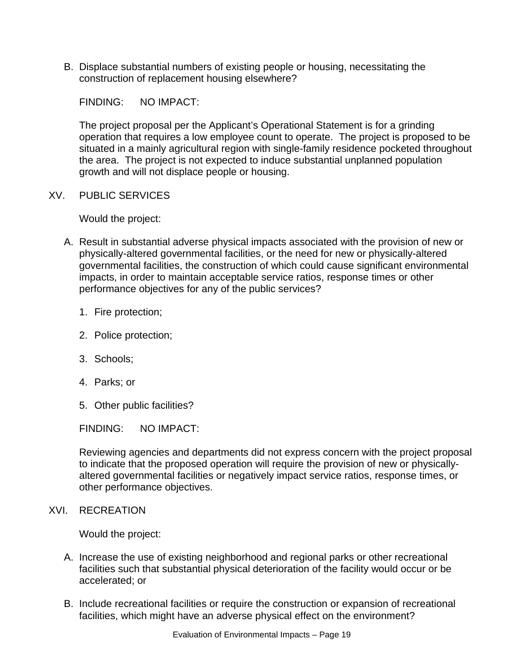B. Displace substantial numbers of existing people or housing, necessitating the construction of replacement housing elsewhere?

FINDING: NO IMPACT:

The project proposal per the Applicant's Operational Statement is for a grinding operation that requires a low employee count to operate. The project is proposed to be situated in a mainly agricultural region with single-family residence pocketed throughout the area. The project is not expected to induce substantial unplanned population growth and will not displace people or housing.

#### XV. PUBLIC SERVICES

Would the project:

- A. Result in substantial adverse physical impacts associated with the provision of new or physically-altered governmental facilities, or the need for new or physically-altered governmental facilities, the construction of which could cause significant environmental impacts, in order to maintain acceptable service ratios, response times or other performance objectives for any of the public services?
	- 1. Fire protection;
	- 2. Police protection;
	- 3. Schools;
	- 4. Parks; or
	- 5. Other public facilities?

FINDING: NO IMPACT:

Reviewing agencies and departments did not express concern with the project proposal to indicate that the proposed operation will require the provision of new or physicallyaltered governmental facilities or negatively impact service ratios, response times, or other performance objectives.

# XVI. RECREATION

Would the project:

- A. Increase the use of existing neighborhood and regional parks or other recreational facilities such that substantial physical deterioration of the facility would occur or be accelerated; or
- B. Include recreational facilities or require the construction or expansion of recreational facilities, which might have an adverse physical effect on the environment?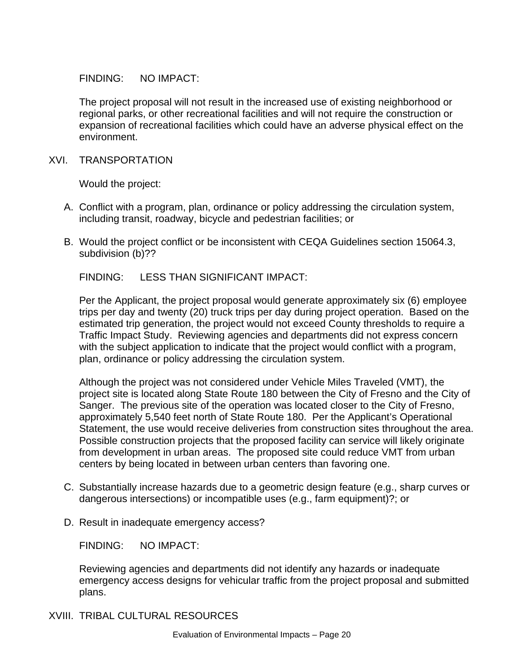# FINDING: NO IMPACT:

The project proposal will not result in the increased use of existing neighborhood or regional parks, or other recreational facilities and will not require the construction or expansion of recreational facilities which could have an adverse physical effect on the environment.

#### XVI. TRANSPORTATION

Would the project:

- A. Conflict with a program, plan, ordinance or policy addressing the circulation system, including transit, roadway, bicycle and pedestrian facilities; or
- B. Would the project conflict or be inconsistent with CEQA Guidelines section 15064.3, subdivision (b)??

FINDING: LESS THAN SIGNIFICANT IMPACT:

Per the Applicant, the project proposal would generate approximately six (6) employee trips per day and twenty (20) truck trips per day during project operation. Based on the estimated trip generation, the project would not exceed County thresholds to require a Traffic Impact Study. Reviewing agencies and departments did not express concern with the subject application to indicate that the project would conflict with a program, plan, ordinance or policy addressing the circulation system.

Although the project was not considered under Vehicle Miles Traveled (VMT), the project site is located along State Route 180 between the City of Fresno and the City of Sanger. The previous site of the operation was located closer to the City of Fresno, approximately 5,540 feet north of State Route 180. Per the Applicant's Operational Statement, the use would receive deliveries from construction sites throughout the area. Possible construction projects that the proposed facility can service will likely originate from development in urban areas. The proposed site could reduce VMT from urban centers by being located in between urban centers than favoring one.

- C. Substantially increase hazards due to a geometric design feature (e.g., sharp curves or dangerous intersections) or incompatible uses (e.g., farm equipment)?; or
- D. Result in inadequate emergency access?

FINDING: NO IMPACT:

Reviewing agencies and departments did not identify any hazards or inadequate emergency access designs for vehicular traffic from the project proposal and submitted plans.

XVIII. TRIBAL CULTURAL RESOURCES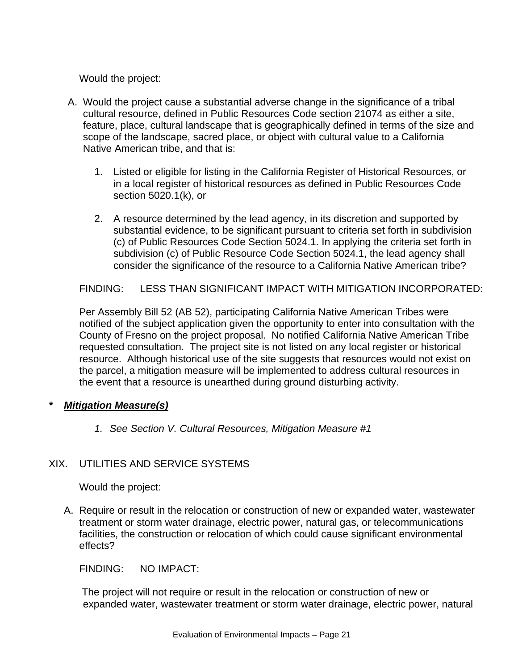Would the project:

- A. Would the project cause a substantial adverse change in the significance of a tribal cultural resource, defined in Public Resources Code section 21074 as either a site, feature, place, cultural landscape that is geographically defined in terms of the size and scope of the landscape, sacred place, or object with cultural value to a California Native American tribe, and that is:
	- 1. Listed or eligible for listing in the California Register of Historical Resources, or in a local register of historical resources as defined in Public Resources Code section 5020.1(k), or
	- 2. A resource determined by the lead agency, in its discretion and supported by substantial evidence, to be significant pursuant to criteria set forth in subdivision (c) of Public Resources Code Section 5024.1. In applying the criteria set forth in subdivision (c) of Public Resource Code Section 5024.1, the lead agency shall consider the significance of the resource to a California Native American tribe?

FINDING: LESS THAN SIGNIFICANT IMPACT WITH MITIGATION INCORPORATED:

Per Assembly Bill 52 (AB 52), participating California Native American Tribes were notified of the subject application given the opportunity to enter into consultation with the County of Fresno on the project proposal. No notified California Native American Tribe requested consultation. The project site is not listed on any local register or historical resource. Although historical use of the site suggests that resources would not exist on the parcel, a mitigation measure will be implemented to address cultural resources in the event that a resource is unearthed during ground disturbing activity.

- *\* Mitigation Measure(s)*
	- *1. See Section V. Cultural Resources, Mitigation Measure #1*

# XIX. UTILITIES AND SERVICE SYSTEMS

Would the project:

A. Require or result in the relocation or construction of new or expanded water, wastewater treatment or storm water drainage, electric power, natural gas, or telecommunications facilities, the construction or relocation of which could cause significant environmental effects?

FINDING: NO IMPACT:

The project will not require or result in the relocation or construction of new or expanded water, wastewater treatment or storm water drainage, electric power, natural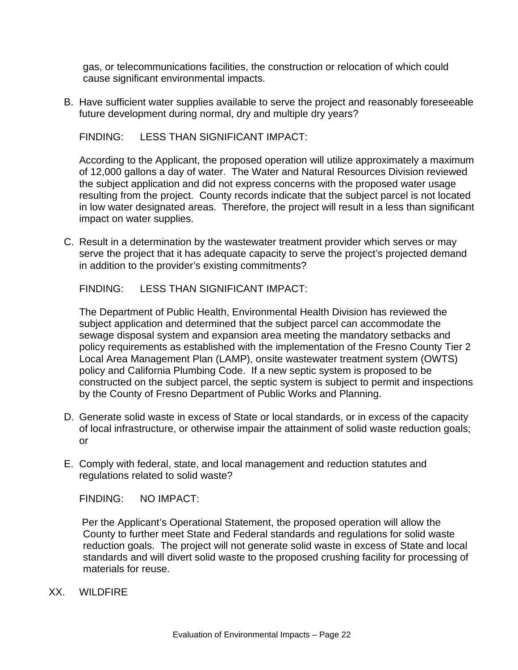gas, or telecommunications facilities, the construction or relocation of which could cause significant environmental impacts.

B. Have sufficient water supplies available to serve the project and reasonably foreseeable future development during normal, dry and multiple dry years?

FINDING: LESS THAN SIGNIFICANT IMPACT:

According to the Applicant, the proposed operation will utilize approximately a maximum of 12,000 gallons a day of water. The Water and Natural Resources Division reviewed the subject application and did not express concerns with the proposed water usage resulting from the project. County records indicate that the subject parcel is not located in low water designated areas. Therefore, the project will result in a less than significant impact on water supplies.

C. Result in a determination by the wastewater treatment provider which serves or may serve the project that it has adequate capacity to serve the project's projected demand in addition to the provider's existing commitments?

FINDING: LESS THAN SIGNIFICANT IMPACT:

The Department of Public Health, Environmental Health Division has reviewed the subject application and determined that the subject parcel can accommodate the sewage disposal system and expansion area meeting the mandatory setbacks and policy requirements as established with the implementation of the Fresno County Tier 2 Local Area Management Plan (LAMP), onsite wastewater treatment system (OWTS) policy and California Plumbing Code. If a new septic system is proposed to be constructed on the subject parcel, the septic system is subject to permit and inspections by the County of Fresno Department of Public Works and Planning.

- D. Generate solid waste in excess of State or local standards, or in excess of the capacity of local infrastructure, or otherwise impair the attainment of solid waste reduction goals; or
- E. Comply with federal, state, and local management and reduction statutes and regulations related to solid waste?

FINDING: NO IMPACT:

Per the Applicant's Operational Statement, the proposed operation will allow the County to further meet State and Federal standards and regulations for solid waste reduction goals. The project will not generate solid waste in excess of State and local standards and will divert solid waste to the proposed crushing facility for processing of materials for reuse.

XX. WILDFIRE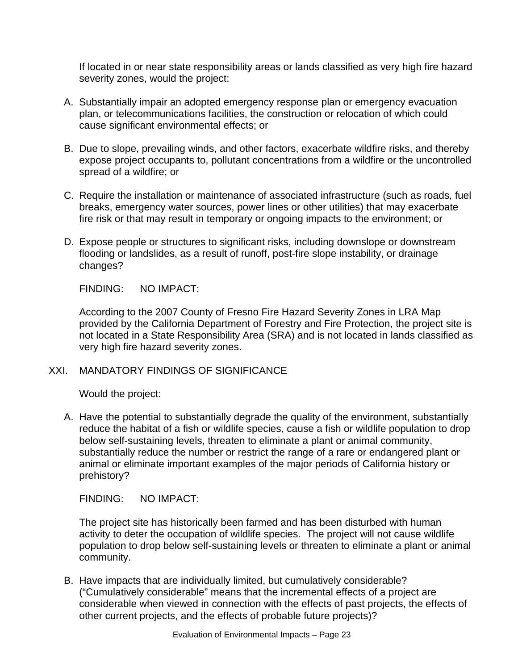If located in or near state responsibility areas or lands classified as very high fire hazard severity zones, would the project:

- A. Substantially impair an adopted emergency response plan or emergency evacuation plan, or telecommunications facilities, the construction or relocation of which could cause significant environmental effects; or
- B. Due to slope, prevailing winds, and other factors, exacerbate wildfire risks, and thereby expose project occupants to, pollutant concentrations from a wildfire or the uncontrolled spread of a wildfire; or
- C. Require the installation or maintenance of associated infrastructure (such as roads, fuel breaks, emergency water sources, power lines or other utilities) that may exacerbate fire risk or that may result in temporary or ongoing impacts to the environment; or
- D. Expose people or structures to significant risks, including downslope or downstream flooding or landslides, as a result of runoff, post-fire slope instability, or drainage changes?

FINDING: NO IMPACT:

According to the 2007 County of Fresno Fire Hazard Severity Zones in LRA Map provided by the California Department of Forestry and Fire Protection, the project site is not located in a State Responsibility Area (SRA) and is not located in lands classified as very high fire hazard severity zones.

XXI. MANDATORY FINDINGS OF SIGNIFICANCE

Would the project:

A. Have the potential to substantially degrade the quality of the environment, substantially reduce the habitat of a fish or wildlife species, cause a fish or wildlife population to drop below self-sustaining levels, threaten to eliminate a plant or animal community, substantially reduce the number or restrict the range of a rare or endangered plant or animal or eliminate important examples of the major periods of California history or prehistory?

FINDING: NO IMPACT:

The project site has historically been farmed and has been disturbed with human activity to deter the occupation of wildlife species. The project will not cause wildlife population to drop below self-sustaining levels or threaten to eliminate a plant or animal community.

B. Have impacts that are individually limited, but cumulatively considerable? ("Cumulatively considerable" means that the incremental effects of a project are considerable when viewed in connection with the effects of past projects, the effects of other current projects, and the effects of probable future projects)?